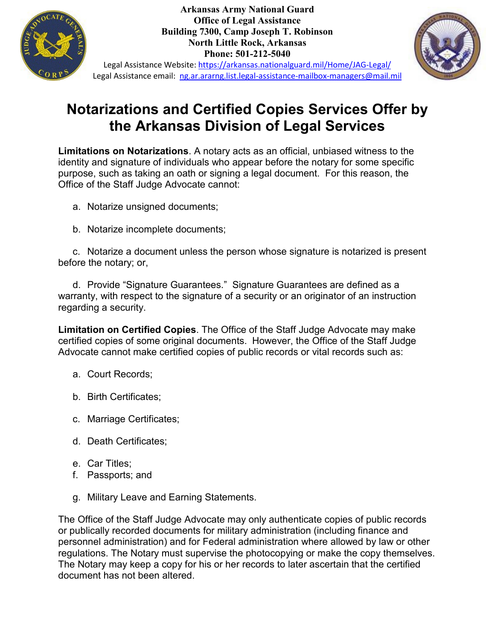

**Arkansas Army National Guard Office of Legal Assistance Building 7300, Camp Joseph T. Robinson North Little Rock, Arkansas Phone: 501-212-5040**



Legal Assistance Website:<https://arkansas.nationalguard.mil/Home/JAG-Legal/> Legal Assistance email: [ng.ar.ararng.list.legal-assistance-mailbox-managers@mail.mil](mailto:ng.ar.ararng.list.legal-assistance-mailbox-managers@mail.mil)

## **Notarizations and Certified Copies Services Offer by the Arkansas Division of Legal Services**

**Limitations on Notarizations**. A notary acts as an official, unbiased witness to the identity and signature of individuals who appear before the notary for some specific purpose, such as taking an oath or signing a legal document. For this reason, the Office of the Staff Judge Advocate cannot:

- a. Notarize unsigned documents;
- b. Notarize incomplete documents;

c. Notarize a document unless the person whose signature is notarized is present before the notary; or,

d. Provide "Signature Guarantees." Signature Guarantees are defined as a warranty, with respect to the signature of a security or an originator of an instruction regarding a security.

**Limitation on Certified Copies**. The Office of the Staff Judge Advocate may make certified copies of some original documents. However, the Office of the Staff Judge Advocate cannot make certified copies of public records or vital records such as:

- a. Court Records;
- b. Birth Certificates;
- c. Marriage Certificates;
- d. Death Certificates;
- e. Car Titles;
- f. Passports; and
- g. Military Leave and Earning Statements.

The Office of the Staff Judge Advocate may only authenticate copies of public records or publically recorded documents for military administration (including finance and personnel administration) and for Federal administration where allowed by law or other regulations. The Notary must supervise the photocopying or make the copy themselves. The Notary may keep a copy for his or her records to later ascertain that the certified document has not been altered.